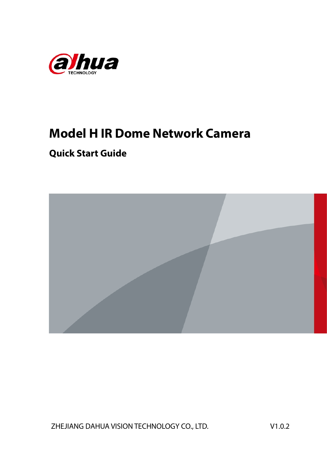

# **Model H IR Dome Network Camera**

## **Quick Start Guide**



ZHEJIANG DAHUA VISION TECHNOLOGY CO., LTD. V1.0.2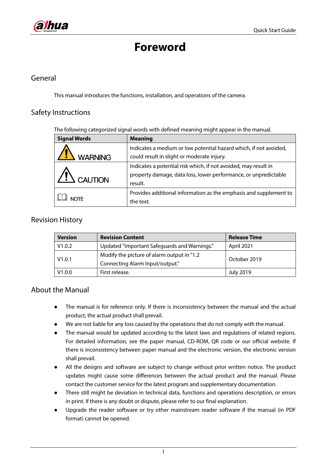# **Foreword**

#### <span id="page-1-0"></span>General

This manual introduces the functions, installation, and operations of the camera.

#### Safety Instructions

The following categorized signal words with defined meaning might appear in the manual.

| <b>Signal Words</b> | <b>Meaning</b>                                                    |
|---------------------|-------------------------------------------------------------------|
| <b>WARNING</b>      | Indicates a medium or low potential hazard which, if not avoided, |
|                     | could result in slight or moderate injury.                        |
|                     | Indicates a potential risk which, if not avoided, may result in   |
| $\angle$ ! CAUTION  | property damage, data loss, lower performance, or unpredictable   |
|                     | result.                                                           |
|                     | Provides additional information as the emphasis and supplement to |
| <b>NOTE</b>         | the text.                                                         |

#### Revision History

| <b>Revision Content</b><br><b>Version</b> |                                              | <b>Release Time</b> |  |
|-------------------------------------------|----------------------------------------------|---------------------|--|
| V1.0.2                                    | Updated "Important Safeguards and Warnings." | April 2021          |  |
| V1.0.1                                    | Modify the picture of alarm output in "1.2"  | October 2019        |  |
|                                           | Connecting Alarm Input/output."              |                     |  |
| V1.0.0                                    | First release.                               | <b>July 2019</b>    |  |

#### About the Manual

- The manual is for reference only. If there is inconsistency between the manual and the actual product, the actual product shall prevail.
- We are not liable for any loss caused by the operations that do not comply with the manual.
- The manual would be updated according to the latest laws and regulations of related regions. For detailed information, see the paper manual, CD-ROM, QR code or our official website. If there is inconsistency between paper manual and the electronic version, the electronic version shall prevail.
- All the designs and software are subject to change without prior written notice. The product updates might cause some differences between the actual product and the manual. Please contact the customer service for the latest program and supplementary documentation.
- There still might be deviation in technical data, functions and operations description, or errors in print. If there is any doubt or dispute, please refer to our final explanation.
- Upgrade the reader software or try other mainstream reader software if the manual (in PDF format) cannot be opened.

I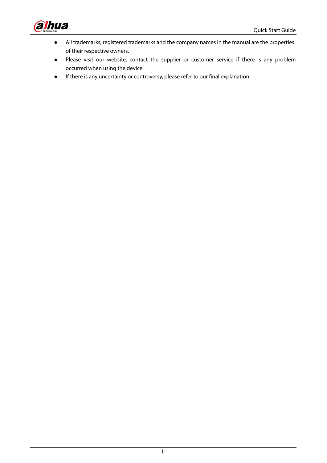

- All trademarks, registered trademarks and the company names in the manual are the properties of their respective owners.
- Please visit our website, contact the supplier or customer service if there is any problem occurred when using the device.
- If there is any uncertainty or controversy, please refer to our final explanation.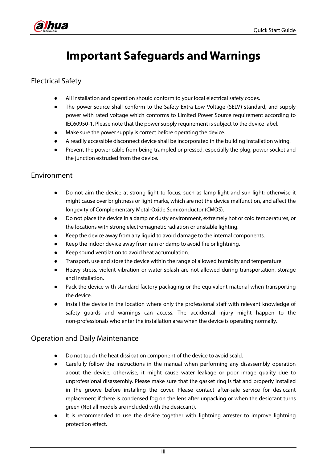<span id="page-3-0"></span>

# **Important Safeguards and Warnings**

#### Electrical Safety

- All installation and operation should conform to your local electrical safety codes.
- The power source shall conform to the Safety Extra Low Voltage (SELV) standard, and supply power with rated voltage which conforms to Limited Power Source requirement according to IEC60950-1. Please note that the power supply requirement is subject to the device label.
- Make sure the power supply is correct before operating the device.
- A readily accessible disconnect device shall be incorporated in the building installation wiring.
- Prevent the power cable from being trampled or pressed, especially the plug, power socket and the junction extruded from the device.

#### Environment

- Do not aim the device at strong light to focus, such as lamp light and sun light; otherwise it might cause over brightness or light marks, which are not the device malfunction, and affect the longevity of Complementary Metal-Oxide Semiconductor (CMOS).
- Do not place the device in a damp or dusty environment, extremely hot or cold temperatures, or the locations with strong electromagnetic radiation or unstable lighting.
- Keep the device away from any liquid to avoid damage to the internal components.
- Keep the indoor device away from rain or damp to avoid fire or lightning.
- Keep sound ventilation to avoid heat accumulation.
- Transport, use and store the device within the range of allowed humidity and temperature.
- Heavy stress, violent vibration or water splash are not allowed during transportation, storage and installation.
- Pack the device with standard factory packaging or the equivalent material when transporting the device.
- Install the device in the location where only the professional staff with relevant knowledge of safety guards and warnings can access. The accidental injury might happen to the non-professionals who enter the installation area when the device is operating normally.

#### Operation and Daily Maintenance

- Do not touch the heat dissipation component of the device to avoid scald.
- Carefully follow the instructions in the manual when performing any disassembly operation about the device; otherwise, it might cause water leakage or poor image quality due to unprofessional disassembly. Please make sure that the gasket ring is flat and properly installed in the groove before installing the cover. Please contact after-sale service for desiccant replacement if there is condensed fog on the lens after unpacking or when the desiccant turns green (Not all models are included with the desiccant).
- It is recommended to use the device together with lightning arrester to improve lightning protection effect.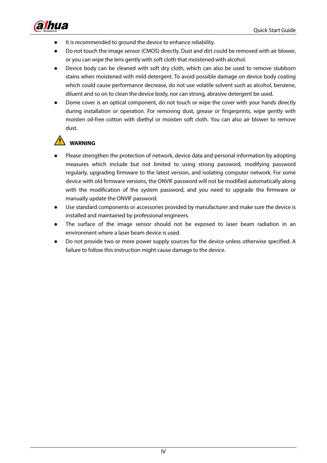

- It is recommended to ground the device to enhance reliability.
- Do not touch the image sensor (CMOS) directly. Dust and dirt could be removed with air blower, or you can wipe the lens gently with soft cloth that moistened with alcohol.
- Device body can be cleaned with soft dry cloth, which can also be used to remove stubborn stains when moistened with mild detergent. To avoid possible damage on device body coating which could cause performance decrease, do not use volatile solvent such as alcohol, benzene, diluent and so on to clean the device body, nor can strong, abrasive detergent be used.
- Dome cover is an optical component, do not touch or wipe the cover with your hands directly during installation or operation. For removing dust, grease or fingerprints, wipe gently with moisten oil-free cotton with diethyl or moisten soft cloth. You can also air blower to remove dust.

#### **WARNING**

- Please strengthen the protection of network, device data and personal information by adopting measures which include but not limited to using strong password, modifying password regularly, upgrading firmware to the latest version, and isolating computer network. For some device with old firmware versions, the ONVIF password will not be modified automatically along with the modification of the system password, and you need to upgrade the firmware or manually update the ONVIF password.
- Use standard components or accessories provided by manufacturer and make sure the device is installed and maintained by professional engineers.
- The surface of the image sensor should not be exposed to laser beam radiation in an environment where a laser beam device is used.
- Do not provide two or more power supply sources for the device unless otherwise specified. A failure to follow this instruction might cause damage to the device.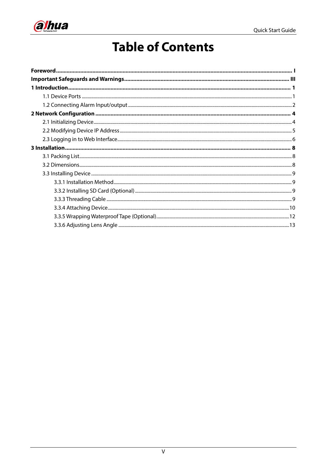

# **Table of Contents**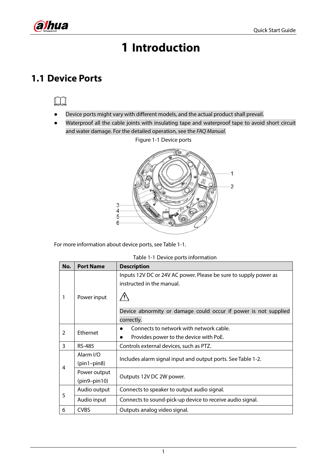<span id="page-6-0"></span>

# **1 Introduction**

## <span id="page-6-1"></span>**1.1 Device Ports**

- Device ports might vary with different models, and the actual product shall prevail.
- Waterproof all the cable joints with insulating tape and waterproof tape to avoid short circuit and water damage. For the detailed operation, see the *FAQ Manual*.

Figure 1-1 Device ports



<span id="page-6-2"></span>For more information about device ports, see [Table 1-1.](#page-6-2)

| Table 1-1 Device ports information |
|------------------------------------|
|------------------------------------|

| No.           | <b>Port Name</b>           | <b>Description</b>                                                                            |  |  |  |
|---------------|----------------------------|-----------------------------------------------------------------------------------------------|--|--|--|
| 1             | Power input                | Inputs 12V DC or 24V AC power. Please be sure to supply power as<br>instructed in the manual. |  |  |  |
|               |                            |                                                                                               |  |  |  |
|               |                            | Device abnormity or damage could occur if power is not supplied                               |  |  |  |
|               |                            | correctly.                                                                                    |  |  |  |
| $\mathcal{P}$ | Ethernet                   | Connects to network with network cable.                                                       |  |  |  |
|               |                            | Provides power to the device with PoE.                                                        |  |  |  |
| 3             | <b>RS-485</b>              | Controls external devices, such as PTZ.                                                       |  |  |  |
|               | Alarm I/O<br>$(pin1-pin8)$ | Includes alarm signal input and output ports. See Table 1-2.                                  |  |  |  |
| 4             | Power output               |                                                                                               |  |  |  |
|               | $(pin9-pin10)$             | Outputs 12V DC 2W power.                                                                      |  |  |  |
| 5             | Audio output               | Connects to speaker to output audio signal.                                                   |  |  |  |
|               | Audio input                | Connects to sound-pick-up device to receive audio signal.                                     |  |  |  |
| 6             | <b>CVBS</b>                | Outputs analog video signal.                                                                  |  |  |  |

1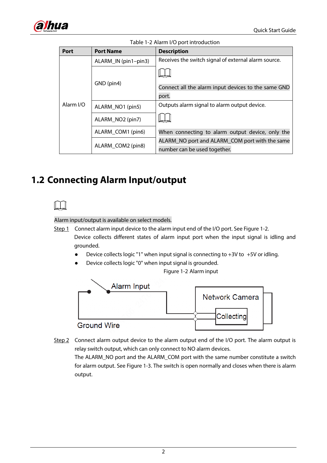<span id="page-7-1"></span>

| <b>Port</b> | <b>Port Name</b>             | <b>Description</b>                                   |  |  |  |
|-------------|------------------------------|------------------------------------------------------|--|--|--|
| Alarm I/O   | ALARM_IN (pin1-pin3)         | Receives the switch signal of external alarm source. |  |  |  |
|             |                              |                                                      |  |  |  |
|             | GND (pin4)                   | Connect all the alarm input devices to the same GND  |  |  |  |
|             |                              | port.                                                |  |  |  |
|             | ALARM NO1 (pin5)             | Outputs alarm signal to alarm output device.         |  |  |  |
|             | ALARM NO <sub>2</sub> (pin7) |                                                      |  |  |  |
|             | ALARM_COM1 (pin6)            | When connecting to alarm output device, only the     |  |  |  |
|             |                              | ALARM_NO port and ALARM_COM port with the same       |  |  |  |
|             | ALARM_COM2 (pin8)            | number can be used together.                         |  |  |  |

Table 1-2 Alarm I/O port introduction

## <span id="page-7-0"></span>**1.2 Connecting Alarm Input/output**

#### Alarm input/output is available on select models.

Step 1 Connect alarm input device to the alarm input end of the I/O port. See [Figure 1-2.](#page-7-2) Device collects different states of alarm input port when the input signal is idling and grounded.

- Device collects logic "1" when input signal is connecting to  $+3V$  to  $+5V$  or idling.
- Device collects logic "0" when input signal is grounded.

Figure 1-2 Alarm input

<span id="page-7-2"></span>

Step 2 Connect alarm output device to the alarm output end of the I/O port. The alarm output is relay switch output, which can only connect to NO alarm devices. The ALARM\_NO port and the ALARM\_COM port with the same number constitute a switch for alarm output. See [Figure 1-3.](#page-8-0) The switch is open normally and closes when there is alarm output.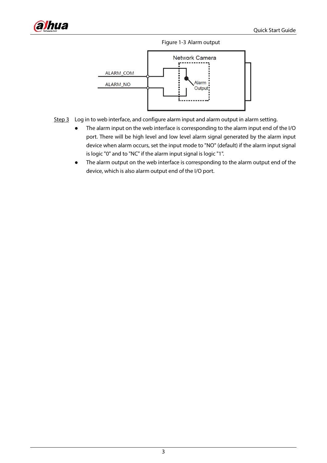<span id="page-8-0"></span>





- Step 3 Log in to web interface, and configure alarm input and alarm output in alarm setting.
	- The alarm input on the web interface is corresponding to the alarm input end of the I/O port. There will be high level and low level alarm signal generated by the alarm input device when alarm occurs, set the input mode to "NO" (default) if the alarm input signal is logic "0" and to "NC" if the alarm input signal is logic "1".
	- The alarm output on the web interface is corresponding to the alarm output end of the device, which is also alarm output end of the I/O port.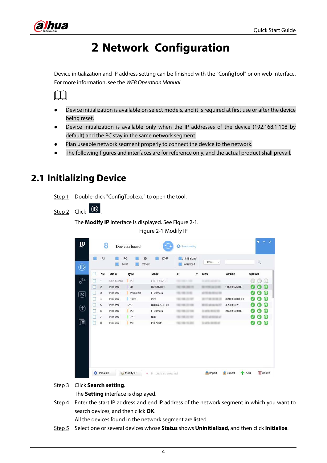<span id="page-9-0"></span>

# **2 Network Configuration**

Device initialization and IP address setting can be finished with the "ConfigTool" or on web interface. For more information, see the *WEB Operation Manual*.



- Device initialization is available on select models, and it is required at first use or after the device being reset.
- Device initialization is available only when the IP addresses of the device (192.168.1.108 by default) and the PC stay in the same network segment.
- Plan useable network segment properly to connect the device to the network.
- The following figures and interfaces are for reference only, and the actual product shall prevail.

## <span id="page-9-3"></span><span id="page-9-1"></span>**2.1 Initializing Device**

Step 1 Double-click "ConfigTool.exe" to open the tool.

<span id="page-9-2"></span>Step 2 Click <sup>1</sup>

The **Modify IP** interface is displayed. See [Figure 2-1.](#page-9-2)

Figure 2-1 Modify IP

| Q<br>Operate<br>(3)<br>m<br>- 10               |
|------------------------------------------------|
|                                                |
|                                                |
|                                                |
| e<br>1.000.0026.0.R                            |
| $\bm{\epsilon}$<br>o                           |
| $\epsilon$<br>3.218.0000001.2<br>◆             |
| $\epsilon$                                     |
| $\boldsymbol{\epsilon}$<br>2.600.0003.0.R<br>α |
| $\epsilon$                                     |
| Ø<br>$\epsilon$<br>Θ                           |
|                                                |

#### Step 3 Click **Search setting**.

The **Setting** interface is displayed.

<span id="page-9-4"></span>Step 4 Enter the start IP address and end IP address of the network segment in which you want to search devices, and then click **OK**.

All the devices found in the network segment are listed.

Step 5 Select one or several devices whose **Status** shows **Uninitialized**, and then click **Initialize**.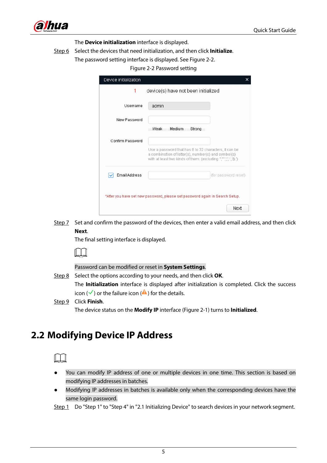

The **Device initialization** interface is displayed.

- <span id="page-10-1"></span>Step 6 Select the devices that need initialization, and then click **Initialize**.
	- The password setting interface is displayed. See [Figure 2-2.](#page-10-1)

#### Figure 2-2 Password setting

|                      | device(s) have not been initialized                                                                                                                                      |
|----------------------|--------------------------------------------------------------------------------------------------------------------------------------------------------------------------|
| Username             | admin                                                                                                                                                                    |
| New Password         |                                                                                                                                                                          |
|                      | Weak<br>Medium<br>Strong                                                                                                                                                 |
| Confirm Password     |                                                                                                                                                                          |
|                      | Use a password that has 8 to 32 characters, it can be<br>a combination of letter(s), number(s) and symbol(s)<br>with at least two kinds of them. (excluding ",",,,,,'& ) |
| <b>Email Address</b> | (for password reset)                                                                                                                                                     |
|                      | *After you have set new password, please set password again in Search Setup.                                                                                             |
|                      | Next                                                                                                                                                                     |

Step 7 Set and confirm the password of the devices, then enter a valid email address, and then click **Next**.

The final setting interface is displayed.

Password can be modified or reset in **System Settings**.

Step 8 Select the options according to your needs, and then click **OK**.

The **Initialization** interface is displayed after initialization is completed. Click the success icon ( $\checkmark$ ) or the failure icon ( $\hat{a}$ ) for the details.

Step 9 Click **Finish**.

The device status on the **Modify IP** interface [\(Figure 2-1\)](#page-9-2) turns to **Initialized**.

#### <span id="page-10-0"></span>**2.2 Modifying Device IP Address**



- You can modify IP address of one or multiple devices in one time. This section is based on modifying IP addresses in batches.
- Modifying IP addresses in batches is available only when the corresponding devices have the same login password.

Step 1 Do ["Step 1"](#page-9-3) to ["Step 4"](#page-9-4) in ["2.1](#page-9-1) [Initializing Device"](#page-9-1) to search devices in your network segment.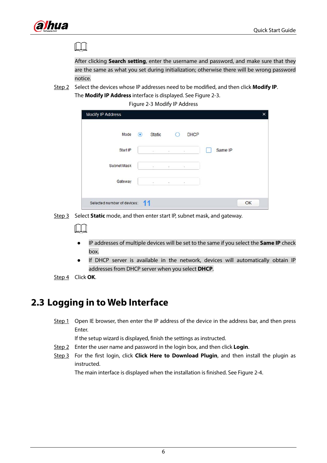

M

After clicking **Search setting**, enter the username and password, and make sure that they are the same as what you set during initialization; otherwise there will be wrong password notice.

<span id="page-11-1"></span>Step 2 Select the devices whose IP addresses need to be modified, and then click **Modify IP**.

The **Modify IP Address** interface is displayed. See [Figure 2-3.](#page-11-1)

Figure 2-3 Modify IP Address

| Modify IP Address           |                |               |          |                              |         | $\times$ |
|-----------------------------|----------------|---------------|----------|------------------------------|---------|----------|
| Mode                        | $\circledcirc$ | <b>Static</b> |          | <b>DHCP</b>                  |         |          |
| Start IP                    |                | $+$           | $\omega$ | ×                            | Same IP |          |
| <b>Subnet Mask</b>          |                |               |          | 2012/03/10 12:00:00 to 12:00 |         |          |
| Gateway                     |                | $\sim$        | ÷        | $\overline{\phantom{a}}$     |         |          |
|                             |                |               |          |                              |         |          |
| Selected number of devices: |                |               |          |                              |         | OK       |

Step 3 Select **Static** mode, and then enter start IP, subnet mask, and gateway.

- IP addresses of multiple devices will be set to the same if you select the **Same IP** check box.
- If DHCP server is available in the network, devices will automatically obtain IP addresses from DHCP server when you select **DHCP**.
- Step 4 Click **OK**.

## <span id="page-11-0"></span>**2.3 Logging in to Web Interface**

Step 1 Open IE browser, then enter the IP address of the device in the address bar, and then press Enter.

If the setup wizard is displayed, finish the settings as instructed.

- Step 2 Enter the user name and password in the login box, and then click **Login**.
- Step 3 For the first login, click **Click Here to Download Plugin**, and then install the plugin as instructed.

The main interface is displayed when the installation is finished. See [Figure 2-4.](#page-12-0)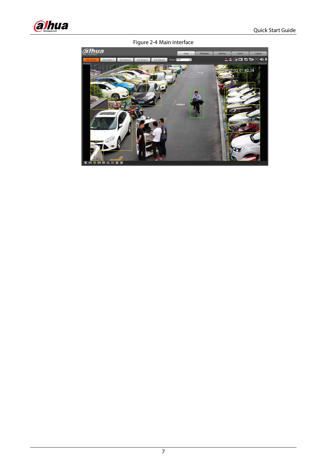<span id="page-12-0"></span>

Figure 2-4 Main interface

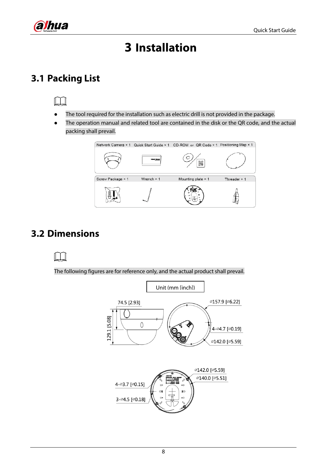<span id="page-13-0"></span>

# **3 Installation**

## <span id="page-13-1"></span>**3.1 Packing List**

- The tool required for the installation such as electric drill is not provided in the package.
- The operation manual and related tool are contained in the disk or the QR code, and the actual packing shall prevail.



## <span id="page-13-2"></span>**3.2 Dimensions**

#### $\blacksquare$

The following figures are for reference only, and the actual product shall prevail.

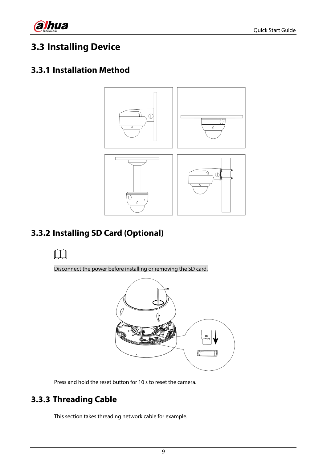

## <span id="page-14-0"></span>**3.3 Installing Device**

#### <span id="page-14-1"></span>**3.3.1 Installation Method**



## <span id="page-14-2"></span>**3.3.2 Installing SD Card (Optional)**

#### $\mathbb{I}$

Disconnect the power before installing or removing the SD card.



Press and hold the reset button for 10 s to reset the camera.

#### <span id="page-14-3"></span>**3.3.3 Threading Cable**

This section takes threading network cable for example.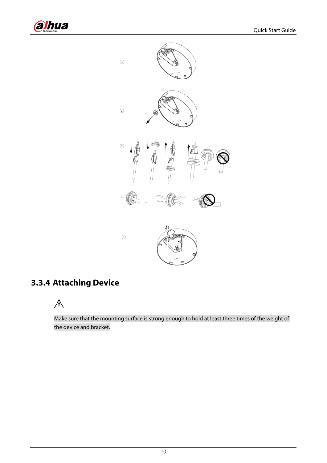



## <span id="page-15-0"></span>**3.3.4 Attaching Device**

## $\triangle$

Make sure that the mounting surface is strong enough to hold at least three times of the weight of the device and bracket.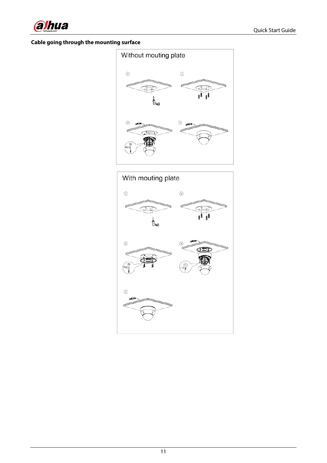

#### **Cable going through the mounting surface**



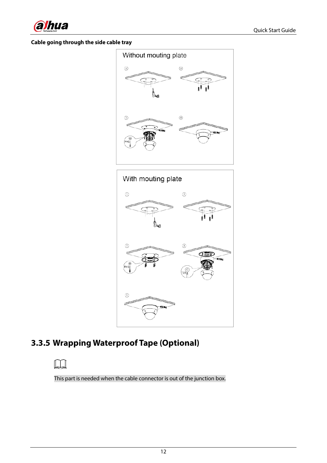

#### **Cable going through the side cable tray**





## <span id="page-17-0"></span>**3.3.5 Wrapping Waterproof Tape (Optional)**

#### m

This part is needed when the cable connector is out of the junction box.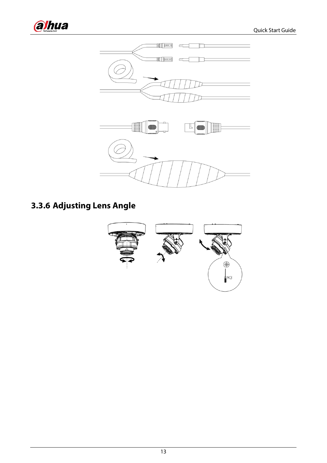



## <span id="page-18-0"></span>**3.3.6 Adjusting Lens Angle**